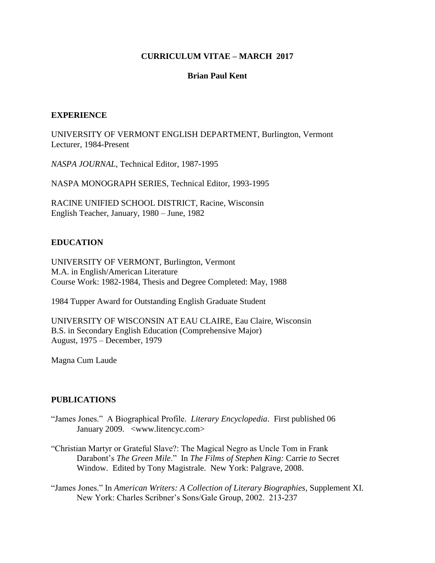### **CURRICULUM VITAE – MARCH 2017**

### **Brian Paul Kent**

### **EXPERIENCE**

UNIVERSITY OF VERMONT ENGLISH DEPARTMENT, Burlington, Vermont Lecturer, 1984-Present

*NASPA JOURNAL*, Technical Editor, 1987-1995

NASPA MONOGRAPH SERIES, Technical Editor, 1993-1995

RACINE UNIFIED SCHOOL DISTRICT, Racine, Wisconsin English Teacher, January, 1980 – June, 1982

## **EDUCATION**

UNIVERSITY OF VERMONT, Burlington, Vermont M.A. in English/American Literature Course Work: 1982-1984, Thesis and Degree Completed: May, 1988

1984 Tupper Award for Outstanding English Graduate Student

UNIVERSITY OF WISCONSIN AT EAU CLAIRE, Eau Claire, Wisconsin B.S. in Secondary English Education (Comprehensive Major) August, 1975 – December, 1979

Magna Cum Laude

### **PUBLICATIONS**

- "James Jones." A Biographical Profile. *Literary Encyclopedia*. First published 06 January 2009. <www.litencyc.com>
- "Christian Martyr or Grateful Slave?: The Magical Negro as Uncle Tom in Frank Darabont's *The Green Mile*." In *The Films of Stephen King:* Carrie *to* Secret Window. Edited by Tony Magistrale. New York: Palgrave, 2008.

"James Jones." In *American Writers: A Collection of Literary Biographies*, Supplement XI. New York: Charles Scribner's Sons/Gale Group, 2002. 213-237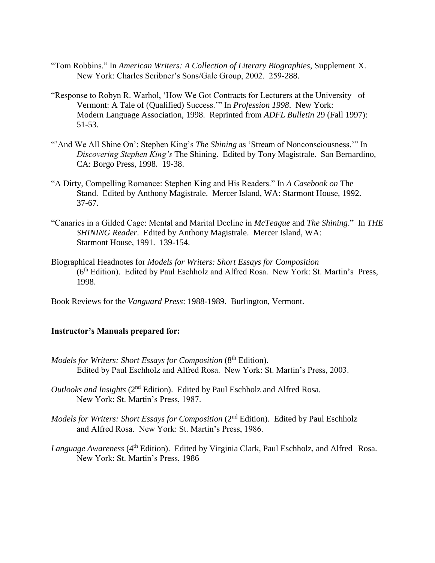- "Tom Robbins." In *American Writers: A Collection of Literary Biographies*, Supplement X. New York: Charles Scribner's Sons/Gale Group, 2002. 259-288.
- "Response to Robyn R. Warhol, 'How We Got Contracts for Lecturers at the University of Vermont: A Tale of (Qualified) Success.'" In *Profession 1998*. New York: Modern Language Association, 1998. Reprinted from *ADFL Bulletin* 29 (Fall 1997): 51-53.
- "'And We All Shine On': Stephen King's *The Shining* as 'Stream of Nonconsciousness." In *Discovering Stephen King's* The Shining. Edited by Tony Magistrale. San Bernardino, CA: Borgo Press, 1998. 19-38.
- "A Dirty, Compelling Romance: Stephen King and His Readers." In *A Casebook on* The Stand. Edited by Anthony Magistrale. Mercer Island, WA: Starmont House, 1992. 37-67.
- "Canaries in a Gilded Cage: Mental and Marital Decline in *McTeague* and *The Shining*." In *THE SHINING Reader*. Edited by Anthony Magistrale. Mercer Island, WA: Starmont House, 1991. 139-154.
- Biographical Headnotes for *Models for Writers: Short Essays for Composition* (6th Edition). Edited by Paul Eschholz and Alfred Rosa. New York: St. Martin's Press, 1998.
- Book Reviews for the *Vanguard Press*: 1988-1989. Burlington, Vermont.

### **Instructor's Manuals prepared for:**

- *Models for Writers: Short Essays for Composition* (8<sup>th</sup> Edition). Edited by Paul Eschholz and Alfred Rosa. New York: St. Martin's Press, 2003.
- *Outlooks and Insights* (2nd Edition). Edited by Paul Eschholz and Alfred Rosa. New York: St. Martin's Press, 1987.
- *Models for Writers: Short Essays for Composition* (2<sup>nd</sup> Edition). Edited by Paul Eschholz and Alfred Rosa. New York: St. Martin's Press, 1986.
- *Language Awareness* (4th Edition). Edited by Virginia Clark, Paul Eschholz, and Alfred Rosa. New York: St. Martin's Press, 1986